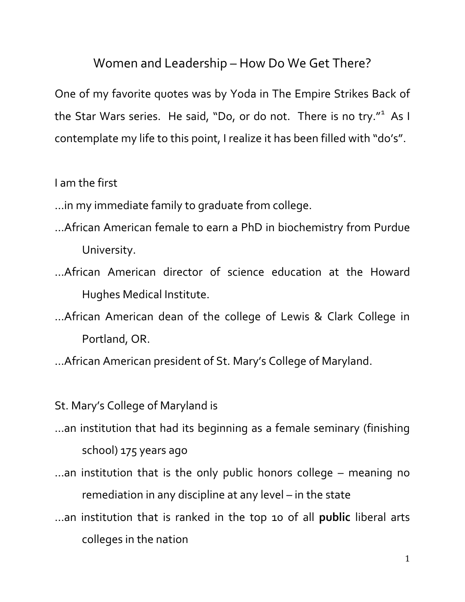## Women and Leadership – How Do We Get There?

One of my favorite quotes was by Yoda in The Empire Strikes Back of the Star Wars series. He said, "Do, or do not. There is no try."<sup>[1](#page-1-0)</sup> As I contemplate my life to this point, I realize it has been filled with "do's".

I am the first

- …in my immediate family to graduate from college.
- …African American female to earn a PhD in biochemistry from Purdue University.
- …African American director of science education at the Howard Hughes Medical Institute.
- …African American dean of the college of Lewis & Clark College in Portland, OR.
- …African American president of St. Mary's College of Maryland.
- St. Mary's College of Maryland is
- …an institution that had its beginning as a female seminary (finishing school) 175 years ago
- …an institution that is the only public honors college meaning no remediation in any discipline at any level – in the state
- …an institution that is ranked in the top 10 of all **public** liberal arts colleges in the nation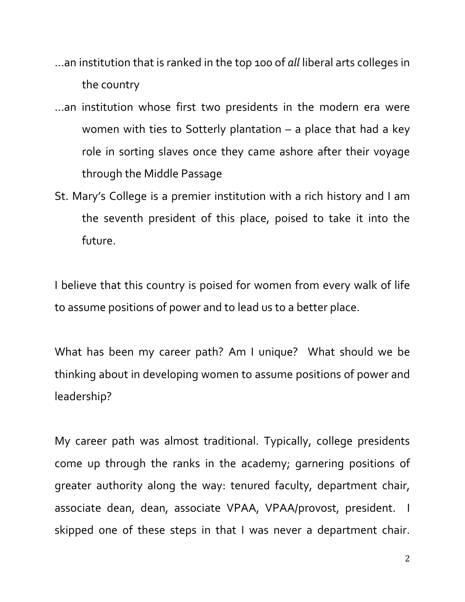- …an institution that is ranked in the top 100 of *all* liberal arts colleges in the country
- <span id="page-1-1"></span><span id="page-1-0"></span>…an institution whose first two presidents in the modern era were women with ties to Sotterly plantation – a place that had a key role in sorting slaves once they came ashore after their voyage through the Middle Passage
- <span id="page-1-3"></span><span id="page-1-2"></span>St. Mary's College is a premier institution with a rich history and I am the seventh president of this place, poised to take it into the future.

I believe that this country is poised for women from every walk of life to assume positions of power and to lead us to a better place.

What has been my career path? Am I unique? What should we be thinking about in developing women to assume positions of power and leadership?

My career path was almost traditional. Typically, college presidents come up through the ranks in the academy; garnering positions of greater authority along the way: tenured faculty, department chair, associate dean, dean, associate VPAA, VPAA/provost, president. I skipped one of these steps in that I was never a department chair.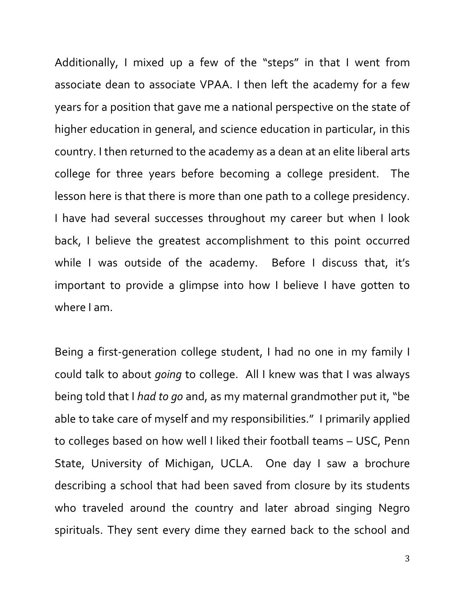Additionally, I mixed up a few of the "steps" in that I went from associate dean to associate VPAA. I then left the academy for a few years for a position that gave me a national perspective on the state of higher education in general, and science education in particular, in this country. I then returned to the academy as a dean at an elite liberal arts college for three years before becoming a college president. The lesson here is that there is more than one path to a college presidency. I have had several successes throughout my career but when I look back, I believe the greatest accomplishment to this point occurred while I was outside of the academy. Before I discuss that, it's important to provide a glimpse into how I believe I have gotten to where I am.

Being a first-generation college student, I had no one in my family I could talk to about *going* to college. All I knew was that I was always being told that I *had to go* and, as my maternal grandmother put it, "be able to take care of myself and my responsibilities." I primarily applied to colleges based on how well I liked their football teams – USC, Penn State, University of Michigan, UCLA. One day I saw a brochure describing a school that had been saved from closure by its students who traveled around the country and later abroad singing Negro spirituals. They sent every dime they earned back to the school and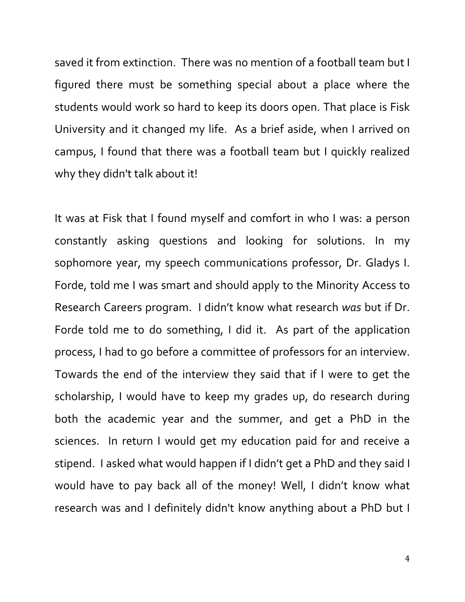saved it from extinction. There was no mention of a football team but I figured there must be something special about a place where the students would work so hard to keep its doors open. That place is Fisk University and it changed my life. As a brief aside, when I arrived on campus, I found that there was a football team but I quickly realized why they didn't talk about it!

It was at Fisk that I found myself and comfort in who I was: a person constantly asking questions and looking for solutions. In my sophomore year, my speech communications professor, Dr. Gladys I. Forde, told me I was smart and should apply to the Minority Access to Research Careers program. I didn't know what research *was* but if Dr. Forde told me to do something, I did it. As part of the application process, I had to go before a committee of professors for an interview. Towards the end of the interview they said that if I were to get the scholarship, I would have to keep my grades up, do research during both the academic year and the summer, and get a PhD in the sciences. In return I would get my education paid for and receive a stipend. I asked what would happen if I didn't get a PhD and they said I would have to pay back all of the money! Well, I didn't know what research was and I definitely didn't know anything about a PhD but I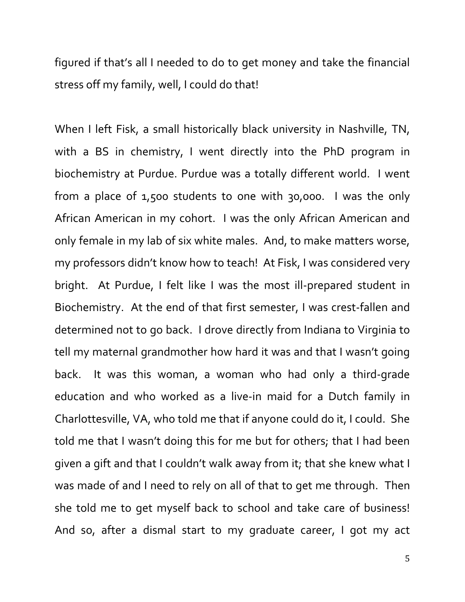figured if that's all I needed to do to get money and take the financial stress off my family, well, I could do that!

When I left Fisk, a small historically black university in Nashville, TN, with a BS in chemistry, I went directly into the PhD program in biochemistry at Purdue. Purdue was a totally different world. I went from a place of 1,500 students to one with 30,000. I was the only African American in my cohort. I was the only African American and only female in my lab of six white males. And, to make matters worse, my professors didn't know how to teach! At Fisk, I was considered very bright. At Purdue, I felt like I was the most ill-prepared student in Biochemistry. At the end of that first semester, I was crest-fallen and determined not to go back. I drove directly from Indiana to Virginia to tell my maternal grandmother how hard it was and that I wasn't going back. It was this woman, a woman who had only a third-grade education and who worked as a live-in maid for a Dutch family in Charlottesville, VA, who told me that if anyone could do it, I could. She told me that I wasn't doing this for me but for others; that I had been given a gift and that I couldn't walk away from it; that she knew what I was made of and I need to rely on all of that to get me through. Then she told me to get myself back to school and take care of business! And so, after a dismal start to my graduate career, I got my act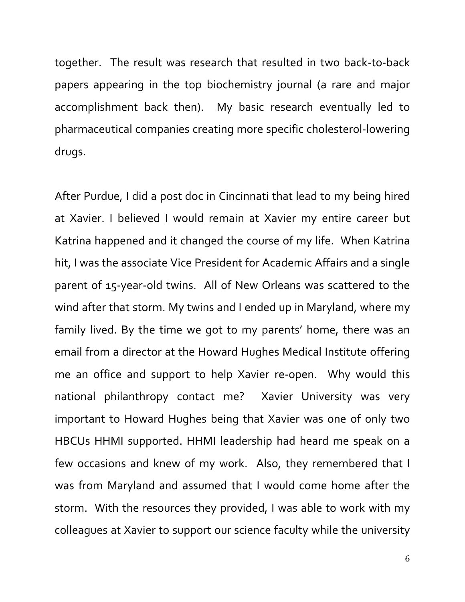together. The result was research that resulted in two back-to-back papers appearing in the top biochemistry journal (a rare and major accomplishment back then). My basic research eventually led to pharmaceutical companies creating more specific cholesterol-lowering drugs.

After Purdue, I did a post doc in Cincinnati that lead to my being hired at Xavier. I believed I would remain at Xavier my entire career but Katrina happened and it changed the course of my life. When Katrina hit, I was the associate Vice President for Academic Affairs and a single parent of 15-year-old twins. All of New Orleans was scattered to the wind after that storm. My twins and I ended up in Maryland, where my family lived. By the time we got to my parents' home, there was an email from a director at the Howard Hughes Medical Institute offering me an office and support to help Xavier re-open. Why would this national philanthropy contact me? Xavier University was very important to Howard Hughes being that Xavier was one of only two HBCUs HHMI supported. HHMI leadership had heard me speak on a few occasions and knew of my work. Also, they remembered that I was from Maryland and assumed that I would come home after the storm. With the resources they provided, I was able to work with my colleagues at Xavier to support our science faculty while the university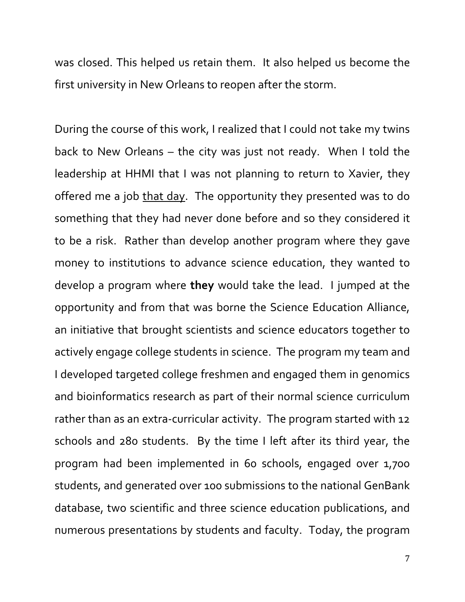was closed. This helped us retain them. It also helped us become the first university in New Orleans to reopen after the storm.

During the course of this work, I realized that I could not take my twins back to New Orleans – the city was just not ready. When I told the leadership at HHMI that I was not planning to return to Xavier, they offered me a job that day. The opportunity they presented was to do something that they had never done before and so they considered it to be a risk. Rather than develop another program where they gave money to institutions to advance science education, they wanted to develop a program where **they** would take the lead. I jumped at the opportunity and from that was borne the Science Education Alliance, an initiative that brought scientists and science educators together to actively engage college students in science. The program my team and I developed targeted college freshmen and engaged them in genomics and bioinformatics research as part of their normal science curriculum rather than as an extra-curricular activity. The program started with 12 schools and 280 students. By the time I left after its third year, the program had been implemented in 60 schools, engaged over 1,700 students, and generated over 100 submissions to the national GenBank database, two scientific and three science education publications, and numerous presentations by students and faculty. Today, the program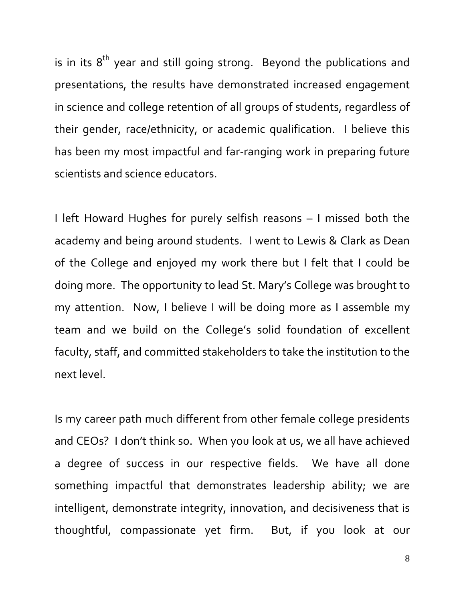is in its  $8<sup>th</sup>$  year and still going strong. Beyond the publications and presentations, the results have demonstrated increased engagement in science and college retention of all groups of students, regardless of their gender, race/ethnicity, or academic qualification. I believe this has been my most impactful and far-ranging work in preparing future scientists and science educators.

I left Howard Hughes for purely selfish reasons – I missed both the academy and being around students. I went to Lewis & Clark as Dean of the College and enjoyed my work there but I felt that I could be doing more. The opportunity to lead St. Mary's College was brought to my attention. Now, I believe I will be doing more as I assemble my team and we build on the College's solid foundation of excellent faculty, staff, and committed stakeholders to take the institution to the next level.

Is my career path much different from other female college presidents and CEOs? I don't think so. When you look at us, we all have achieved a degree of success in our respective fields. We have all done something impactful that demonstrates leadership ability; we are intelligent, demonstrate integrity, innovation, and decisiveness that is thoughtful, compassionate yet firm. But, if you look at our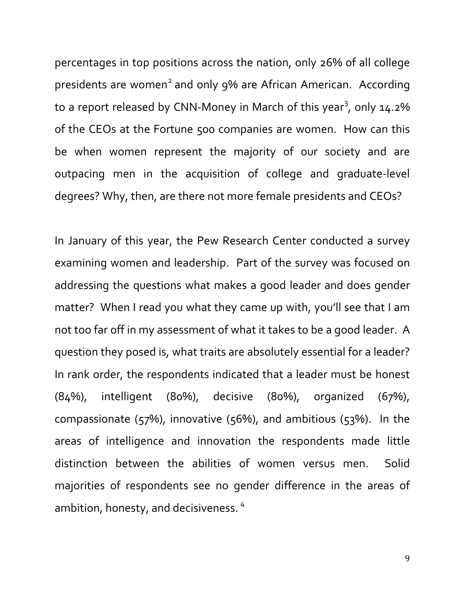percentages in top positions across the nation, only 26% of all college presidents are women<sup>[2](#page-1-1)</sup> and only 9% are African American. According to a report released by CNN-Money in March of this year<sup>[3](#page-1-2)</sup>, only 14.2% of the CEOs at the Fortune 500 companies are women. How can this be when women represent the majority of our society and are outpacing men in the acquisition of college and graduate-level degrees? Why, then, are there not more female presidents and CEOs?

In January of this year, the Pew Research Center conducted a survey examining women and leadership. Part of the survey was focused on addressing the questions what makes a good leader and does gender matter? When I read you what they came up with, you'll see that I am not too far off in my assessment of what it takes to be a good leader. A question they posed is, what traits are absolutely essential for a leader? In rank order, the respondents indicated that a leader must be honest (84%), intelligent (80%), decisive (80%), organized (67%), compassionate ( $57\%$ ), innovative ( $56\%$ ), and ambitious ( $53\%$ ). In the areas of intelligence and innovation the respondents made little distinction between the abilities of women versus men. Solid majorities of respondents see no gender difference in the areas of ambition, honesty, and decisiveness. [4](#page-1-3)

9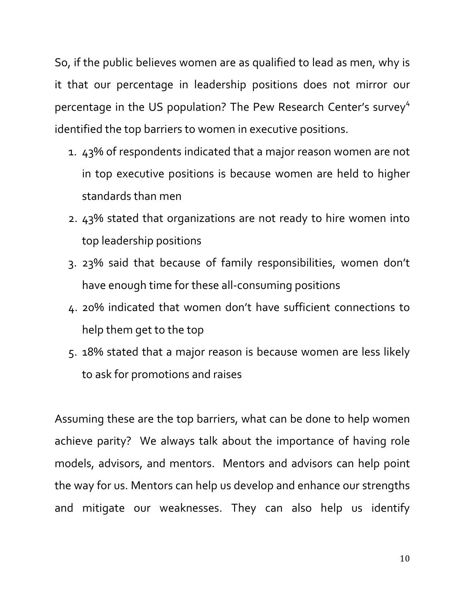So, if the public believes women are as qualified to lead as men, why is it that our percentage in leadership positions does not mirror our percentage in the US population? The Pew Research Center's survey<sup>4</sup> identified the top barriers to women in executive positions.

- 1. 43% of respondents indicated that a major reason women are not in top executive positions is because women are held to higher standards than men
- 2. 43% stated that organizations are not ready to hire women into top leadership positions
- 3. 23% said that because of family responsibilities, women don't have enough time for these all-consuming positions
- 4. 20% indicated that women don't have sufficient connections to help them get to the top
- 5. 18% stated that a major reason is because women are less likely to ask for promotions and raises

Assuming these are the top barriers, what can be done to help women achieve parity? We always talk about the importance of having role models, advisors, and mentors. Mentors and advisors can help point the way for us. Mentors can help us develop and enhance our strengths and mitigate our weaknesses. They can also help us identify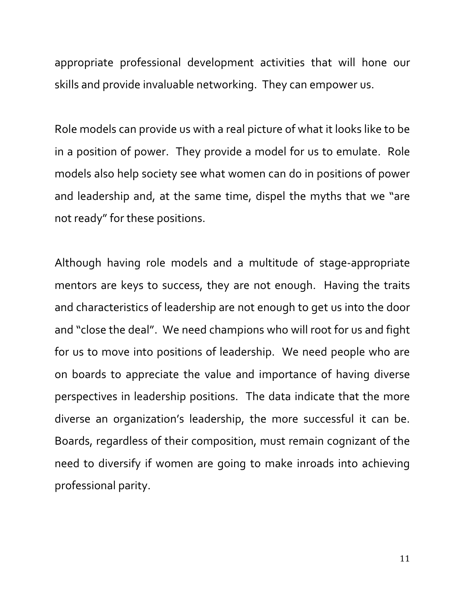appropriate professional development activities that will hone our skills and provide invaluable networking. They can empower us.

Role models can provide us with a real picture of what it looks like to be in a position of power. They provide a model for us to emulate. Role models also help society see what women can do in positions of power and leadership and, at the same time, dispel the myths that we "are not ready" for these positions.

Although having role models and a multitude of stage-appropriate mentors are keys to success, they are not enough. Having the traits and characteristics of leadership are not enough to get us into the door and "close the deal". We need champions who will root for us and fight for us to move into positions of leadership. We need people who are on boards to appreciate the value and importance of having diverse perspectives in leadership positions. The data indicate that the more diverse an organization's leadership, the more successful it can be. Boards, regardless of their composition, must remain cognizant of the need to diversify if women are going to make inroads into achieving professional parity.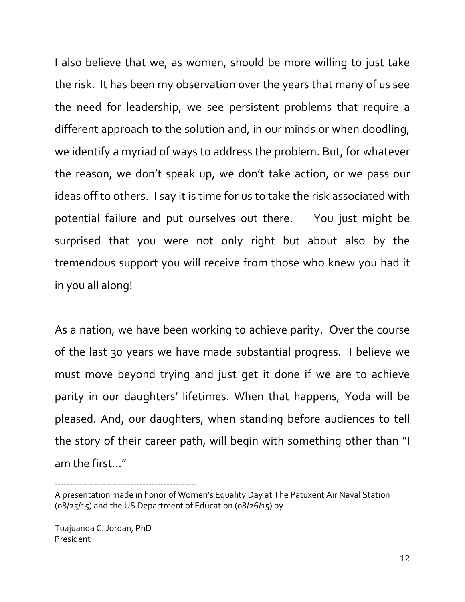I also believe that we, as women, should be more willing to just take the risk. It has been my observation over the years that many of us see the need for leadership, we see persistent problems that require a different approach to the solution and, in our minds or when doodling, we identify a myriad of ways to address the problem. But, for whatever the reason, we don't speak up, we don't take action, or we pass our ideas off to others. I say it is time for us to take the risk associated with potential failure and put ourselves out there. You just might be surprised that you were not only right but about also by the tremendous support you will receive from those who knew you had it in you all along!

As a nation, we have been working to achieve parity. Over the course of the last 30 years we have made substantial progress. I believe we must move beyond trying and just get it done if we are to achieve parity in our daughters' lifetimes. When that happens, Yoda will be pleased. And, our daughters, when standing before audiences to tell the story of their career path, will begin with something other than "I am the first…"

----------------------------------------------- A presentation made in honor of Women's Equality Day at The Patuxent Air Naval Station

Tuajuanda C. Jordan, PhD President

<sup>(08/25/15)</sup> and the US Department of Education (08/26/15) by